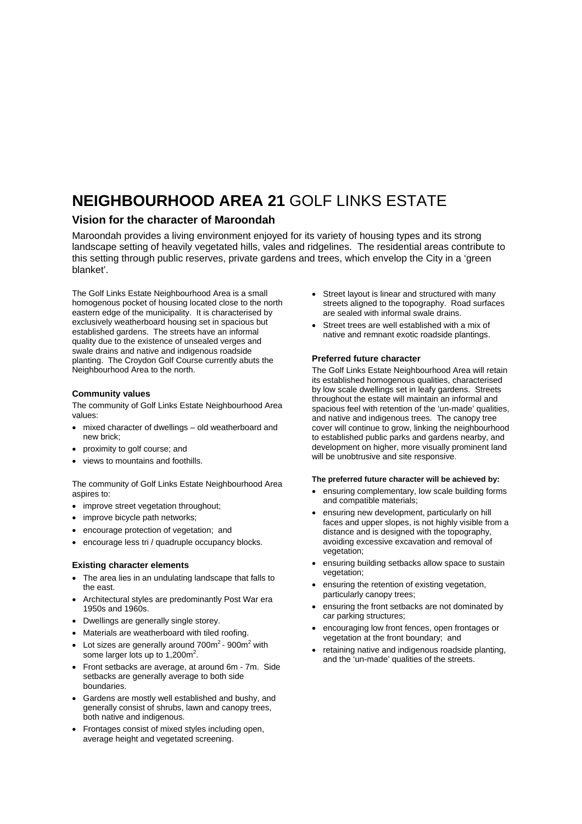# **NEIGHBOURHOOD AREA 21** GOLF LINKS ESTATE

### **Vision for the character of Maroondah**

Maroondah provides a living environment enjoyed for its variety of housing types and its strong landscape setting of heavily vegetated hills, vales and ridgelines. The residential areas contribute to this setting through public reserves, private gardens and trees, which envelop the City in a 'green blanket'.

The Golf Links Estate Neighbourhood Area is a small homogenous pocket of housing located close to the north eastern edge of the municipality. It is characterised by exclusively weatherboard housing set in spacious but established gardens. The streets have an informal quality due to the existence of unsealed verges and swale drains and native and indigenous roadside planting. The Croydon Golf Course currently abuts the Neighbourhood Area to the north.

#### **Community values**

The community of Golf Links Estate Neighbourhood Area values:

- mixed character of dwellings old weatherboard and new brick;
- proximity to golf course; and
- views to mountains and foothills.

The community of Golf Links Estate Neighbourhood Area aspires to:

- improve street vegetation throughout:
- improve bicycle path networks;
- encourage protection of vegetation; and
- encourage less tri / quadruple occupancy blocks.

#### **Existing character elements**

- The area lies in an undulating landscape that falls to the east.
- Architectural styles are predominantly Post War era 1950s and 1960s.
- Dwellings are generally single storey.
- Materials are weatherboard with tiled roofing.
- Lot sizes are generally around  $700m^2$   $900m^2$  with some larger lots up to  $1,200m^2$ .
- Front setbacks are average, at around 6m 7m. Side setbacks are generally average to both side boundaries.
- Gardens are mostly well established and bushy, and generally consist of shrubs, lawn and canopy trees, both native and indigenous.
- Frontages consist of mixed styles including open, average height and vegetated screening.
- Street layout is linear and structured with many streets aligned to the topography. Road surfaces are sealed with informal swale drains.
- Street trees are well established with a mix of native and remnant exotic roadside plantings.

#### **Preferred future character**

The Golf Links Estate Neighbourhood Area will retain its established homogenous qualities, characterised by low scale dwellings set in leafy gardens. Streets throughout the estate will maintain an informal and spacious feel with retention of the 'un-made' qualities, and native and indigenous trees. The canopy tree cover will continue to grow, linking the neighbourhood to established public parks and gardens nearby, and development on higher, more visually prominent land will be unobtrusive and site responsive.

#### **The preferred future character will be achieved by:**

- ensuring complementary, low scale building forms and compatible materials;
- ensuring new development, particularly on hill faces and upper slopes, is not highly visible from a distance and is designed with the topography, avoiding excessive excavation and removal of vegetation;
- ensuring building setbacks allow space to sustain vegetation;
- ensuring the retention of existing vegetation, particularly canopy trees;
- ensuring the front setbacks are not dominated by car parking structures;
- encouraging low front fences, open frontages or vegetation at the front boundary; and
- retaining native and indigenous roadside planting, and the 'un-made' qualities of the streets.